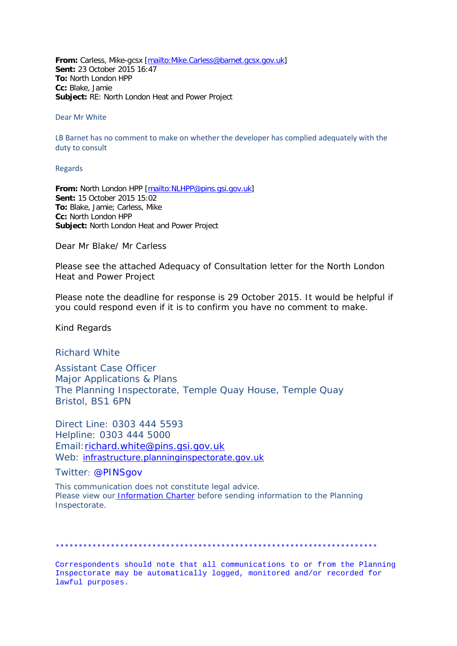**From:** Carless, Mike-gcsx [\[mailto:Mike.Carless@barnet.gcsx.gov.uk\]](mailto:Mike.Carless@barnet.gcsx.gov.uk) **Sent:** 23 October 2015 16:47 **To:** North London HPP **Cc:** Blake, Jamie **Subject:** RE: North London Heat and Power Project

Dear Mr White

LB Barnet has no comment to make on whether the developer has complied adequately with the duty to consult

Regards

**From:** North London HPP [\[mailto:NLHPP@pins.gsi.gov.uk\]](mailto:NLHPP@pins.gsi.gov.uk) **Sent:** 15 October 2015 15:02 **To:** Blake, Jamie; Carless, Mike **Cc:** North London HPP **Subject:** North London Heat and Power Project

Dear Mr Blake/ Mr Carless

Please see the attached Adequacy of Consultation letter for the North London Heat and Power Project

Please note the deadline for response is 29 October 2015. It would be helpful if you could respond even if it is to confirm you have no comment to make.

Kind Regards

Richard White

Assistant Case Officer Major Applications & Plans The Planning Inspectorate, Temple Quay House, Temple Quay Bristol, BS1 6PN

Direct Line: 0303 444 5593 Helpline: 0303 444 5000 Email[:richard.white@pins.gsi.gov.uk](mailto:richard.white@pins.gsi.gov.uk) Web: [infrastructure.planninginspectorate.gov.uk](http://infrastructure.planninginspectorate.gov.uk/)

Twitter: @PINSgov

This communication does not constitute legal advice. Please view our **[Information Charter](https://www.gov.uk/government/organisations/planning-inspectorate/about/personal-information-charter)** before sending information to the Planning Inspectorate.

\*\*\*\*\*\*\*\*\*\*\*\*\*\*\*\*\*\*\*\*\*\*\*\*\*\*\*\*\*\*\*\*\*\*\*\*\*\*\*\*\*\*\*\*\*\*\*\*\*\*\*\*\*\*\*\*\*\*\*\*\*\*\*\*\*\*\*\*\*\*

Correspondents should note that all communications to or from the Planning Inspectorate may be automatically logged, monitored and/or recorded for lawful purposes.